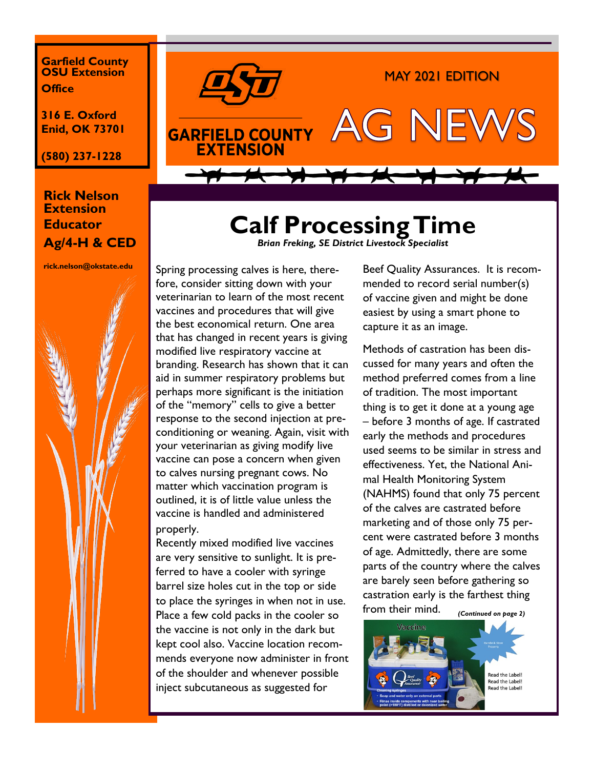**Garfield County OSU Extension Office**

**316 E. Oxford Enid, OK 73701**

**(580) 237-1228**

## **Rick Nelson Extension Educator Ag/4-H & CED**

**rick.nelson@okstate.edu**





## **Calf Processing Time**  *Brian Freking, SE District Livestock Specialist*

Spring processing calves is here, therefore, consider sitting down with your veterinarian to learn of the most recent vaccines and procedures that will give the best economical return. One area that has changed in recent years is giving modified live respiratory vaccine at branding. Research has shown that it can aid in summer respiratory problems but perhaps more significant is the initiation of the "memory" cells to give a better response to the second injection at preconditioning or weaning. Again, visit with your veterinarian as giving modify live vaccine can pose a concern when given to calves nursing pregnant cows. No matter which vaccination program is outlined, it is of little value unless the vaccine is handled and administered properly.

Recently mixed modified live vaccines are very sensitive to sunlight. It is preferred to have a cooler with syringe barrel size holes cut in the top or side to place the syringes in when not in use. Place a few cold packs in the cooler so the vaccine is not only in the dark but kept cool also. Vaccine location recommends everyone now administer in front of the shoulder and whenever possible inject subcutaneous as suggested for

Beef Quality Assurances. It is recommended to record serial number(s) of vaccine given and might be done easiest by using a smart phone to capture it as an image.

Methods of castration has been discussed for many years and often the method preferred comes from a line of tradition. The most important thing is to get it done at a young age – before 3 months of age. If castrated early the methods and procedures used seems to be similar in stress and effectiveness. Yet, the National Animal Health Monitoring System (NAHMS) found that only 75 percent of the calves are castrated before marketing and of those only 75 percent were castrated before 3 months of age. Admittedly, there are some parts of the country where the calves are barely seen before gathering so castration early is the farthest thing from their mind. *(Continued on page 2)*